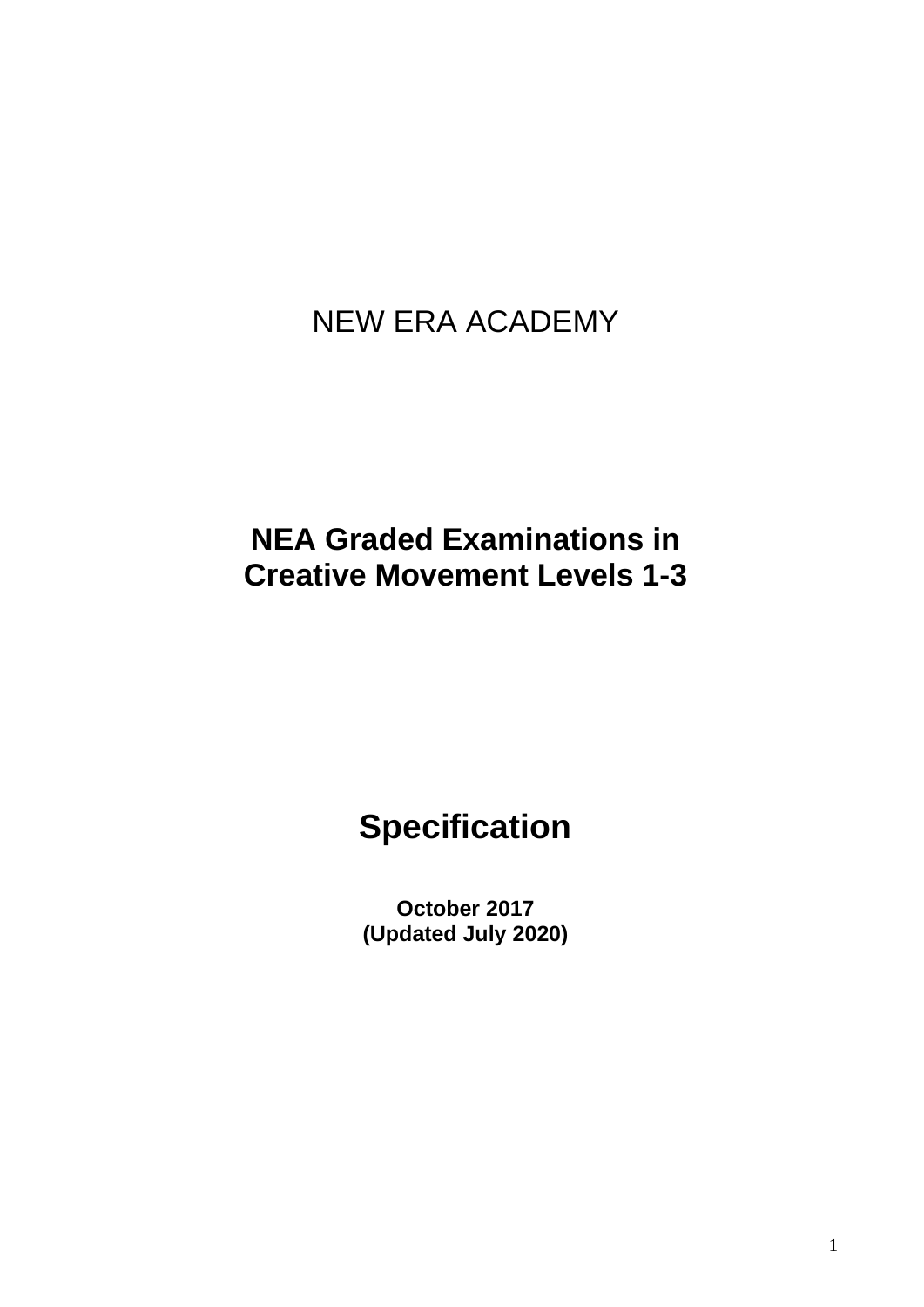# NEW ERA ACADEMY

## **NEA Graded Examinations in Creative Movement Levels 1-3**

# **Specification**

**October 2017 (Updated July 2020)**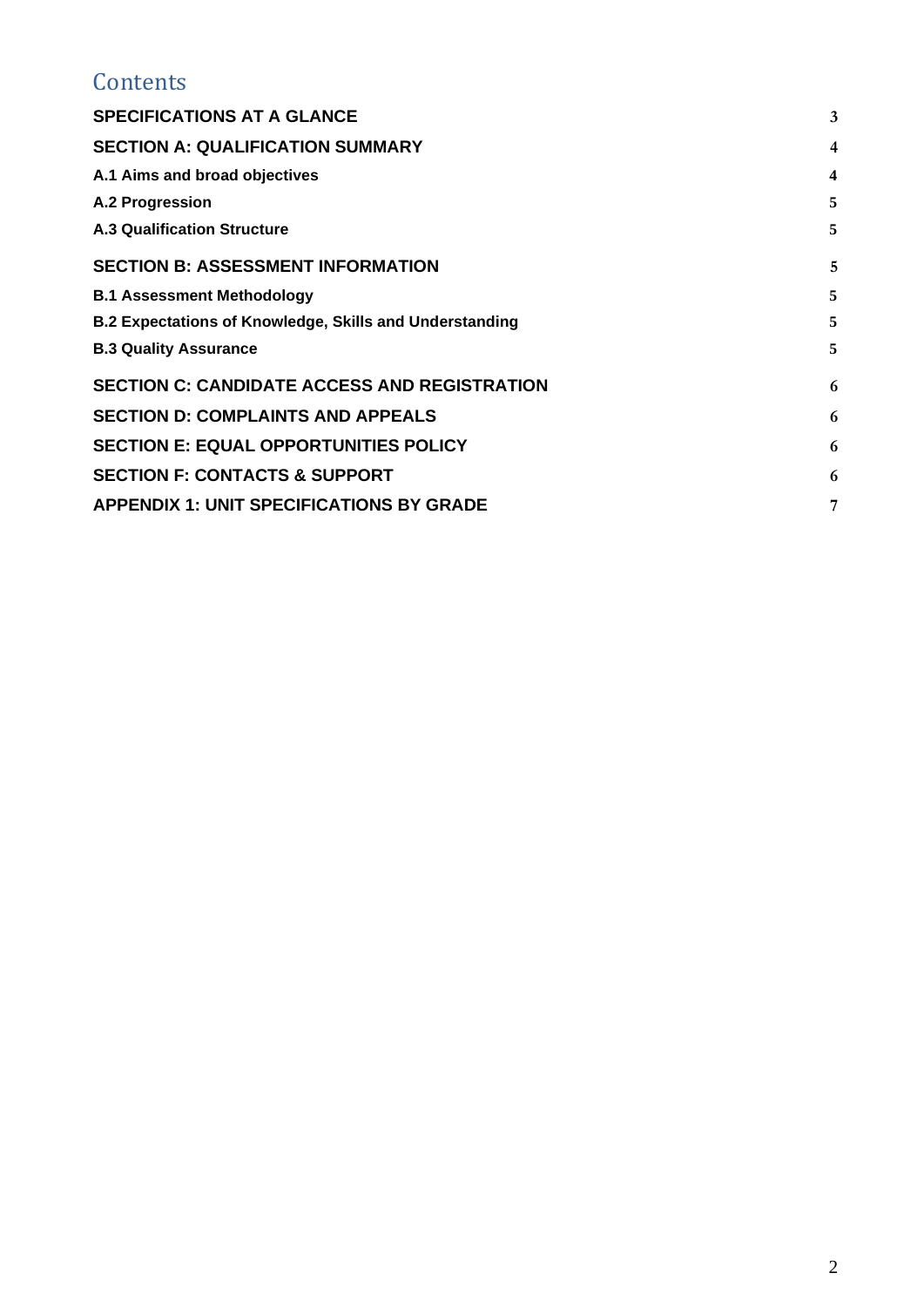### **Contents**

| <b>SPECIFICATIONS AT A GLANCE</b>                              | 3 |
|----------------------------------------------------------------|---|
| <b>SECTION A: QUALIFICATION SUMMARY</b>                        | 4 |
| A.1 Aims and broad objectives                                  | 4 |
| A.2 Progression                                                | 5 |
| <b>A.3 Qualification Structure</b>                             | 5 |
| <b>SECTION B: ASSESSMENT INFORMATION</b>                       | 5 |
| <b>B.1 Assessment Methodology</b>                              | 5 |
| <b>B.2 Expectations of Knowledge, Skills and Understanding</b> | 5 |
| <b>B.3 Quality Assurance</b>                                   | 5 |
| <b>SECTION C: CANDIDATE ACCESS AND REGISTRATION</b>            | 6 |
| <b>SECTION D: COMPLAINTS AND APPEALS</b>                       | 6 |
| <b>SECTION E: EQUAL OPPORTUNITIES POLICY</b>                   | 6 |
| <b>SECTION F: CONTACTS &amp; SUPPORT</b>                       | 6 |
| <b>APPENDIX 1: UNIT SPECIFICATIONS BY GRADE</b>                | 7 |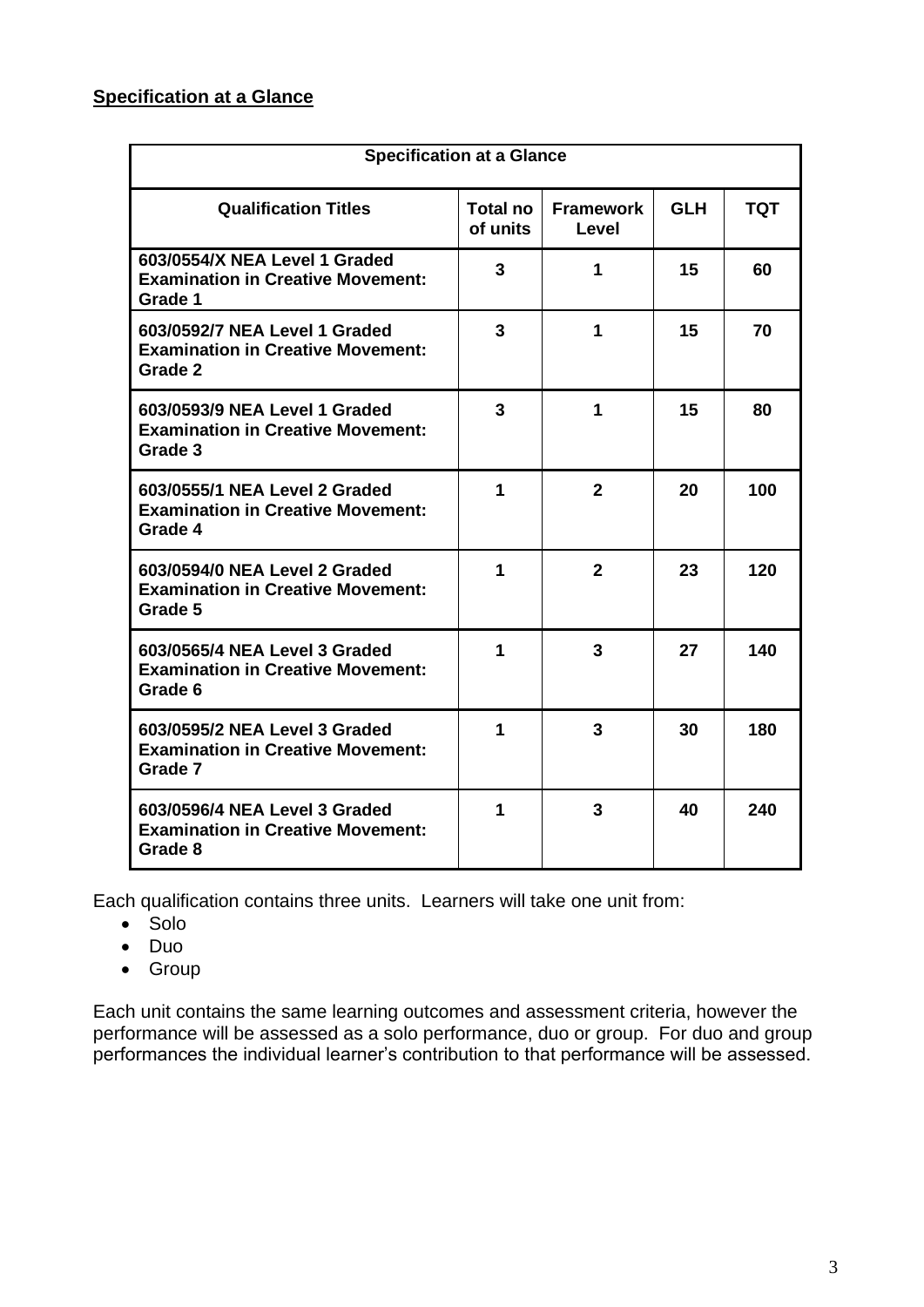#### <span id="page-2-0"></span>**Specification at a Glance**

| <b>Specification at a Glance</b>                                                     |                      |                           |            |     |
|--------------------------------------------------------------------------------------|----------------------|---------------------------|------------|-----|
| <b>Qualification Titles</b>                                                          | Total no<br>of units | <b>Framework</b><br>Level | <b>GLH</b> | TQT |
| 603/0554/X NEA Level 1 Graded<br><b>Examination in Creative Movement:</b><br>Grade 1 | 3                    | 1                         | 15         | 60  |
| 603/0592/7 NEA Level 1 Graded<br><b>Examination in Creative Movement:</b><br>Grade 2 | 3                    | 1                         | 15         | 70  |
| 603/0593/9 NEA Level 1 Graded<br><b>Examination in Creative Movement:</b><br>Grade 3 | 3                    | 1                         | 15         | 80  |
| 603/0555/1 NEA Level 2 Graded<br><b>Examination in Creative Movement:</b><br>Grade 4 | 1                    | $\overline{2}$            | 20         | 100 |
| 603/0594/0 NEA Level 2 Graded<br><b>Examination in Creative Movement:</b><br>Grade 5 | 1                    | $\overline{2}$            | 23         | 120 |
| 603/0565/4 NEA Level 3 Graded<br><b>Examination in Creative Movement:</b><br>Grade 6 | 1                    | 3                         | 27         | 140 |
| 603/0595/2 NEA Level 3 Graded<br><b>Examination in Creative Movement:</b><br>Grade 7 | 1                    | 3                         | 30         | 180 |
| 603/0596/4 NEA Level 3 Graded<br><b>Examination in Creative Movement:</b><br>Grade 8 | 1                    | 3                         | 40         | 240 |

Each qualification contains three units. Learners will take one unit from:

- Solo
- Duo
- Group

Each unit contains the same learning outcomes and assessment criteria, however the performance will be assessed as a solo performance, duo or group. For duo and group performances the individual learner's contribution to that performance will be assessed.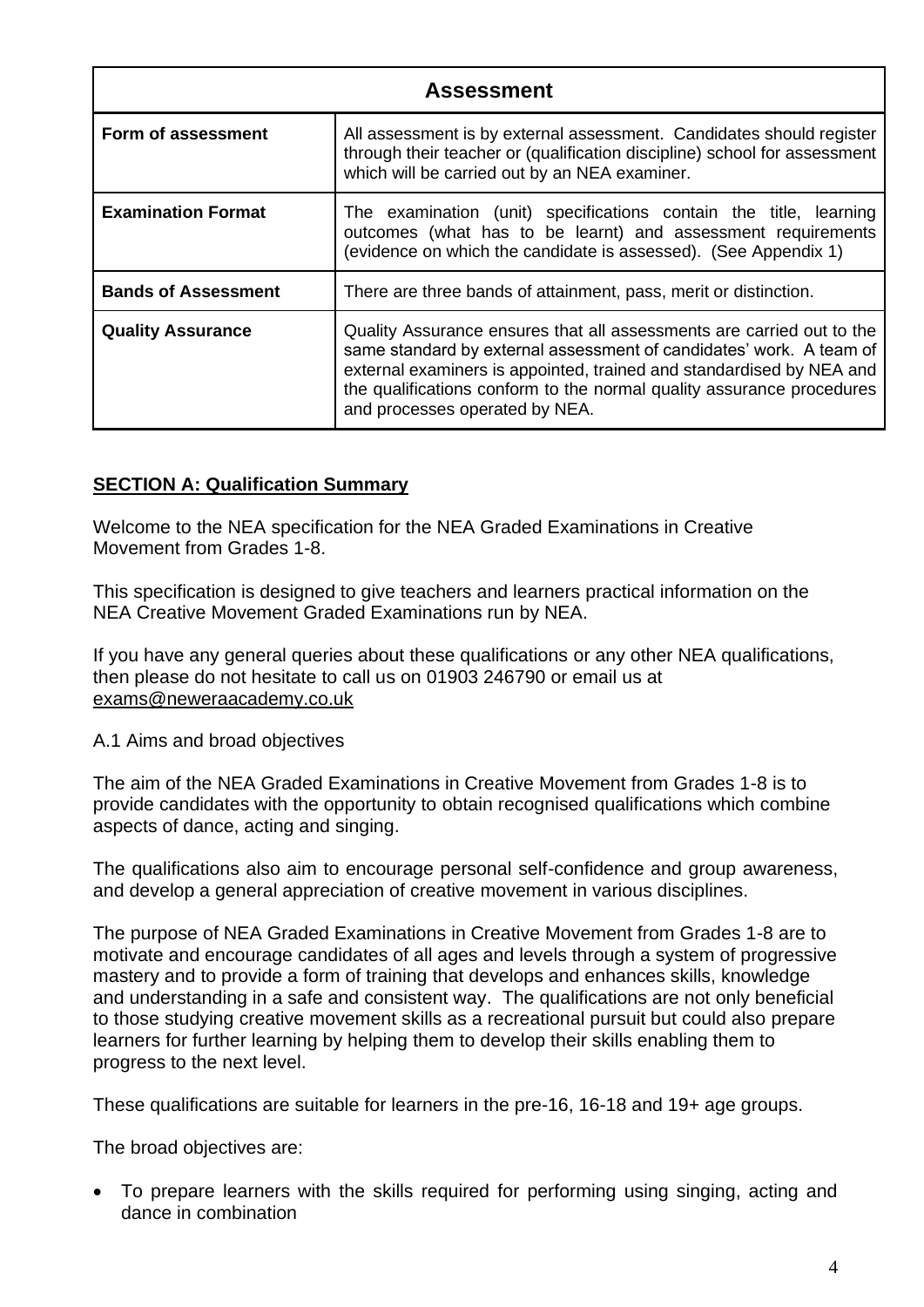| <b>Assessment</b>          |                                                                                                                                                                                                                                                                                                                                 |  |
|----------------------------|---------------------------------------------------------------------------------------------------------------------------------------------------------------------------------------------------------------------------------------------------------------------------------------------------------------------------------|--|
| Form of assessment         | All assessment is by external assessment. Candidates should register<br>through their teacher or (qualification discipline) school for assessment<br>which will be carried out by an NEA examiner.                                                                                                                              |  |
| <b>Examination Format</b>  | The examination (unit) specifications contain the title, learning<br>outcomes (what has to be learnt) and assessment requirements<br>(evidence on which the candidate is assessed). (See Appendix 1)                                                                                                                            |  |
| <b>Bands of Assessment</b> | There are three bands of attainment, pass, merit or distinction.                                                                                                                                                                                                                                                                |  |
| <b>Quality Assurance</b>   | Quality Assurance ensures that all assessments are carried out to the<br>same standard by external assessment of candidates' work. A team of<br>external examiners is appointed, trained and standardised by NEA and<br>the qualifications conform to the normal quality assurance procedures<br>and processes operated by NEA. |  |

#### <span id="page-3-0"></span>**SECTION A: Qualification Summary**

Welcome to the NEA specification for the NEA Graded Examinations in Creative Movement from Grades 1-8.

This specification is designed to give teachers and learners practical information on the NEA Creative Movement Graded Examinations run by NEA.

If you have any general queries about these qualifications or any other NEA qualifications, then please do not hesitate to call us on 01903 246790 or email us at exams@neweraacademy.co.uk

<span id="page-3-1"></span>A.1 Aims and broad objectives

The aim of the NEA Graded Examinations in Creative Movement from Grades 1-8 is to provide candidates with the opportunity to obtain recognised qualifications which combine aspects of dance, acting and singing.

The qualifications also aim to encourage personal self-confidence and group awareness, and develop a general appreciation of creative movement in various disciplines.

The purpose of NEA Graded Examinations in Creative Movement from Grades 1-8 are to motivate and encourage candidates of all ages and levels through a system of progressive mastery and to provide a form of training that develops and enhances skills, knowledge and understanding in a safe and consistent way. The qualifications are not only beneficial to those studying creative movement skills as a recreational pursuit but could also prepare learners for further learning by helping them to develop their skills enabling them to progress to the next level.

These qualifications are suitable for learners in the pre-16, 16-18 and 19+ age groups.

The broad objectives are:

• To prepare learners with the skills required for performing using singing, acting and dance in combination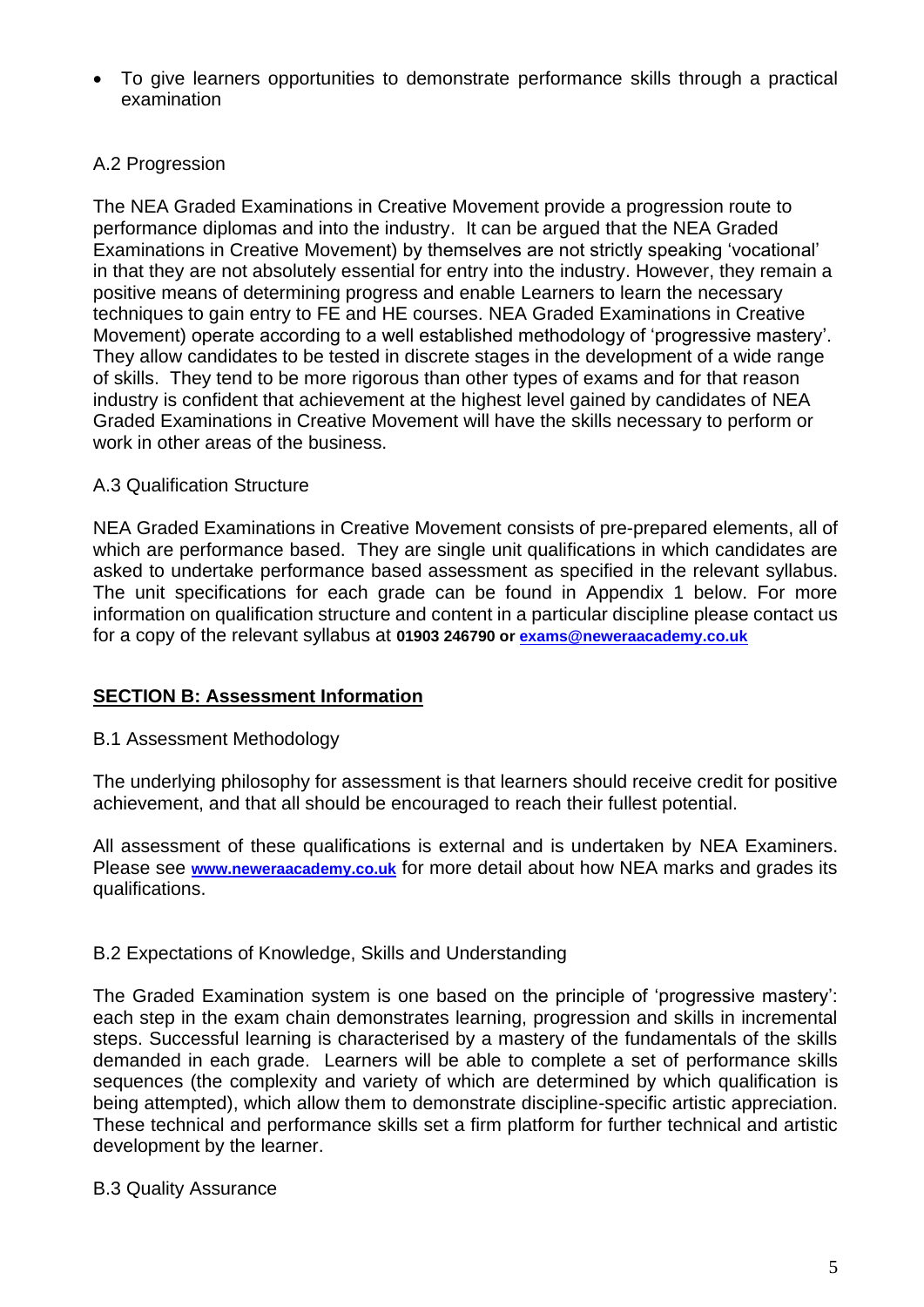• To give learners opportunities to demonstrate performance skills through a practical examination

#### <span id="page-4-0"></span>A.2 Progression

The NEA Graded Examinations in Creative Movement provide a progression route to performance diplomas and into the industry. It can be argued that the NEA Graded Examinations in Creative Movement) by themselves are not strictly speaking 'vocational' in that they are not absolutely essential for entry into the industry. However, they remain a positive means of determining progress and enable Learners to learn the necessary techniques to gain entry to FE and HE courses. NEA Graded Examinations in Creative Movement) operate according to a well established methodology of 'progressive mastery'. They allow candidates to be tested in discrete stages in the development of a wide range of skills. They tend to be more rigorous than other types of exams and for that reason industry is confident that achievement at the highest level gained by candidates of NEA Graded Examinations in Creative Movement will have the skills necessary to perform or work in other areas of the business.

#### <span id="page-4-1"></span>A.3 Qualification Structure

NEA Graded Examinations in Creative Movement consists of pre-prepared elements, all of which are performance based. They are single unit qualifications in which candidates are asked to undertake performance based assessment as specified in the relevant syllabus. The unit specifications for each grade can be found in Appendix 1 below. For more information on qualification structure and content in a particular discipline please contact us for a copy of the relevant syllabus at **01903 246790 or [exams@neweraacademy.co.uk](mailto:exams@neweraacademy.co.uk)**

#### <span id="page-4-2"></span>**SECTION B: Assessment Information**

#### <span id="page-4-3"></span>B.1 Assessment Methodology

The underlying philosophy for assessment is that learners should receive credit for positive achievement, and that all should be encouraged to reach their fullest potential.

All assessment of these qualifications is external and is undertaken by NEA Examiners. Please see **[www.neweraacademy.co.uk](http://www.neweraacademy.co.uk/)** for more detail about how NEA marks and grades its qualifications.

#### <span id="page-4-4"></span>B.2 Expectations of Knowledge, Skills and Understanding

The Graded Examination system is one based on the principle of 'progressive mastery': each step in the exam chain demonstrates learning, progression and skills in incremental steps. Successful learning is characterised by a mastery of the fundamentals of the skills demanded in each grade. Learners will be able to complete a set of performance skills sequences (the complexity and variety of which are determined by which qualification is being attempted), which allow them to demonstrate discipline-specific artistic appreciation. These technical and performance skills set a firm platform for further technical and artistic development by the learner.

#### <span id="page-4-5"></span>B.3 Quality Assurance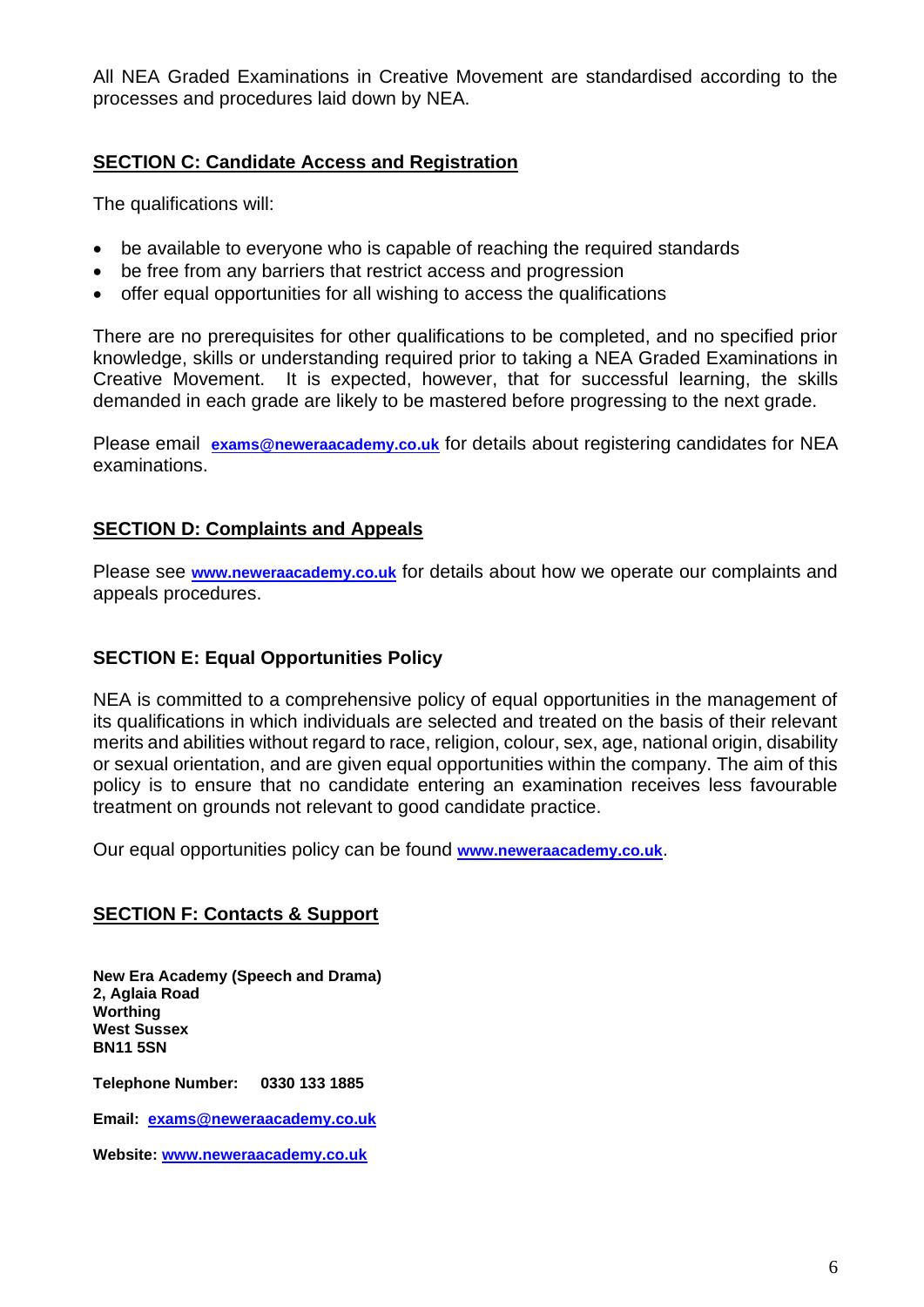All NEA Graded Examinations in Creative Movement are standardised according to the processes and procedures laid down by NEA.

#### <span id="page-5-0"></span>**SECTION C: Candidate Access and Registration**

The qualifications will:

- be available to everyone who is capable of reaching the required standards
- be free from any barriers that restrict access and progression
- offer equal opportunities for all wishing to access the qualifications

There are no prerequisites for other qualifications to be completed, and no specified prior knowledge, skills or understanding required prior to taking a NEA Graded Examinations in Creative Movement. It is expected, however, that for successful learning, the skills demanded in each grade are likely to be mastered before progressing to the next grade.

Please email **[exams@neweraacademy.co.uk](mailto:exams@neweraacademy.co.uk)** for details about registering candidates for NEA examinations.

#### <span id="page-5-1"></span>**SECTION D: Complaints and Appeals**

Please see **[www.neweraacademy.co.uk](http://www.neweraacademy.co.uk/)** for details about how we operate our complaints and appeals procedures.

#### <span id="page-5-2"></span>**SECTION E: Equal Opportunities Policy**

NEA is committed to a comprehensive policy of equal opportunities in the management of its qualifications in which individuals are selected and treated on the basis of their relevant merits and abilities without regard to race, religion, colour, sex, age, national origin, disability or sexual orientation, and are given equal opportunities within the company. The aim of this policy is to ensure that no candidate entering an examination receives less favourable treatment on grounds not relevant to good candidate practice.

Our equal opportunities policy can be found **[www.neweraacademy.co.uk](http://www.neweraacademy.co.uk/)**.

#### <span id="page-5-3"></span>**SECTION F: Contacts & Support**

**New Era Academy (Speech and Drama) 2, Aglaia Road Worthing West Sussex BN11 5SN** 

**Telephone Number: 0330 133 1885**

**Email: [exams@neweraacademy.co.uk](mailto:exams@neweraacademy.co.uk)**

**Website: [www.neweraacademy.co.uk](http://www.neweraacademy.co.uk/)**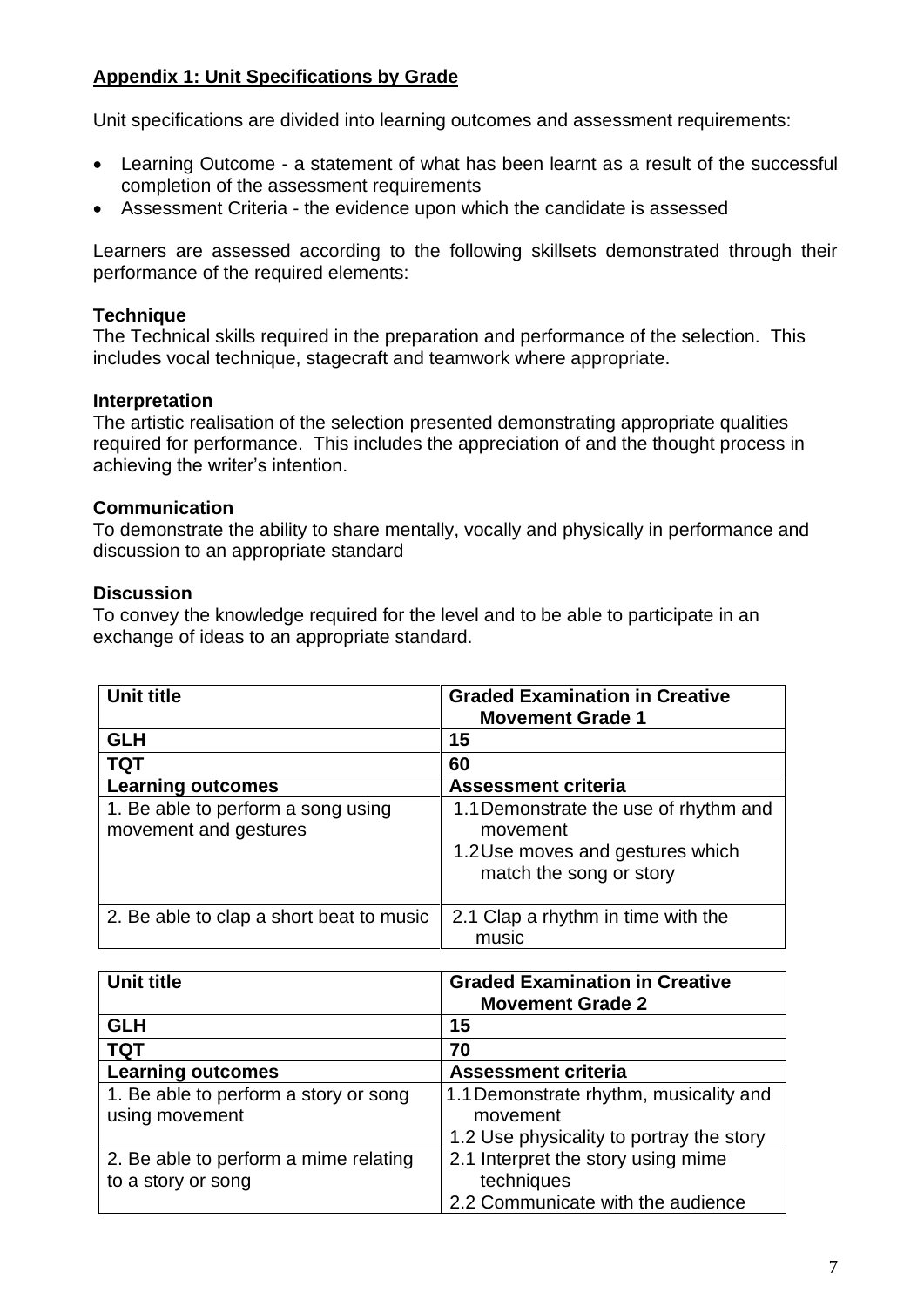#### <span id="page-6-0"></span>**Appendix 1: Unit Specifications by Grade**

Unit specifications are divided into learning outcomes and assessment requirements:

- Learning Outcome a statement of what has been learnt as a result of the successful completion of the assessment requirements
- Assessment Criteria the evidence upon which the candidate is assessed

Learners are assessed according to the following skillsets demonstrated through their performance of the required elements:

#### **Technique**

The Technical skills required in the preparation and performance of the selection. This includes vocal technique, stagecraft and teamwork where appropriate.

#### **Interpretation**

The artistic realisation of the selection presented demonstrating appropriate qualities required for performance. This includes the appreciation of and the thought process in achieving the writer's intention.

#### **Communication**

To demonstrate the ability to share mentally, vocally and physically in performance and discussion to an appropriate standard

#### **Discussion**

To convey the knowledge required for the level and to be able to participate in an exchange of ideas to an appropriate standard.

| Unit title                                                  | <b>Graded Examination in Creative</b><br><b>Movement Grade 1</b>                                                 |
|-------------------------------------------------------------|------------------------------------------------------------------------------------------------------------------|
| <b>GLH</b>                                                  | 15                                                                                                               |
| <b>TQT</b>                                                  | 60                                                                                                               |
| <b>Learning outcomes</b>                                    | <b>Assessment criteria</b>                                                                                       |
| 1. Be able to perform a song using<br>movement and gestures | 1.1 Demonstrate the use of rhythm and<br>movement<br>1.2 Use moves and gestures which<br>match the song or story |
| 2. Be able to clap a short beat to music                    | 2.1 Clap a rhythm in time with the<br>music                                                                      |

| Unit title                            | <b>Graded Examination in Creative</b><br><b>Movement Grade 2</b> |
|---------------------------------------|------------------------------------------------------------------|
| <b>GLH</b>                            | 15                                                               |
| <b>TQT</b>                            | 70                                                               |
| <b>Learning outcomes</b>              | <b>Assessment criteria</b>                                       |
| 1. Be able to perform a story or song | 1.1 Demonstrate rhythm, musicality and                           |
| using movement                        | movement                                                         |
|                                       | 1.2 Use physicality to portray the story                         |
| 2. Be able to perform a mime relating | 2.1 Interpret the story using mime                               |
| to a story or song                    | techniques                                                       |
|                                       | 2.2 Communicate with the audience                                |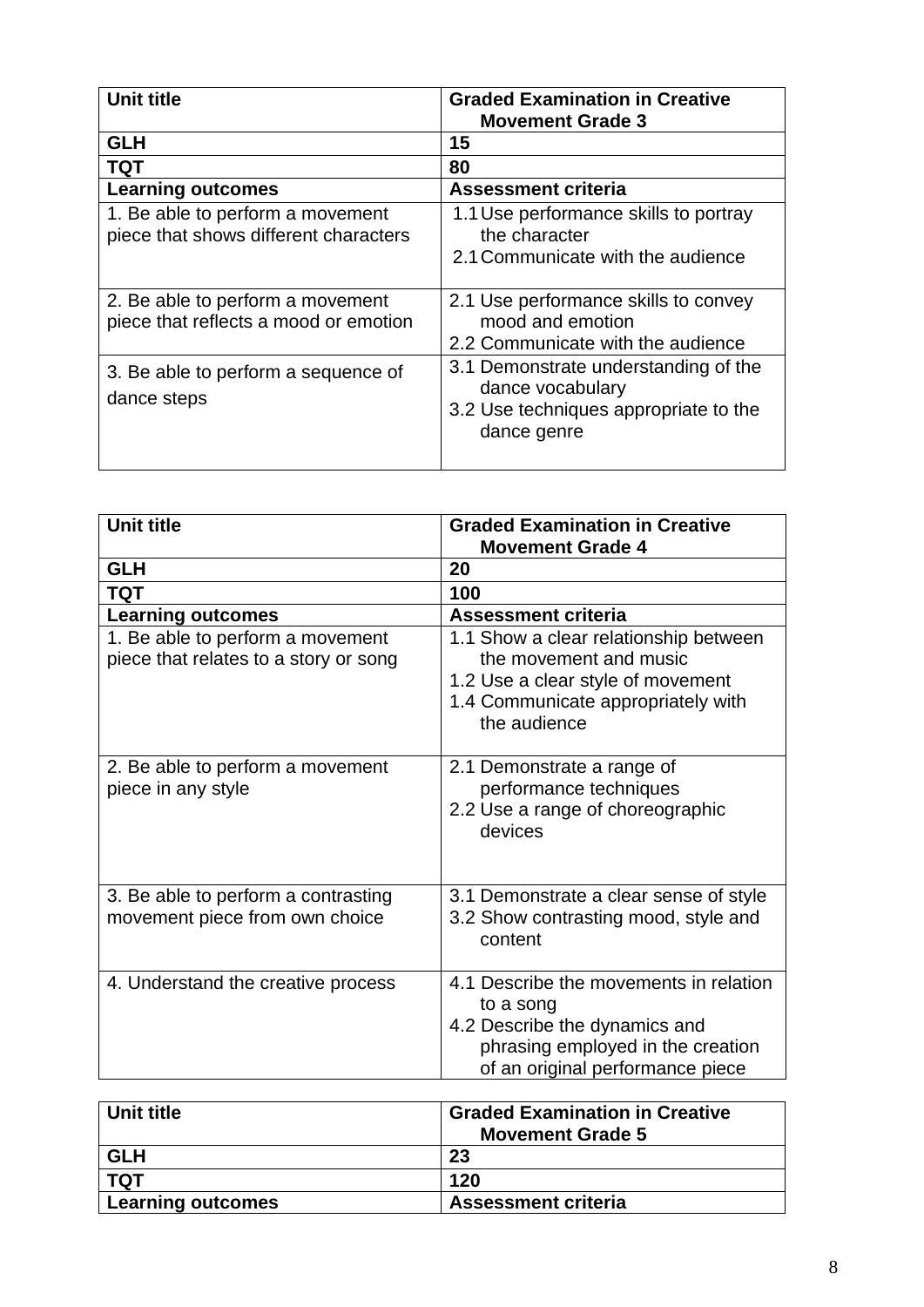| Unit title                                                                | <b>Graded Examination in Creative</b><br><b>Movement Grade 3</b>                                                 |
|---------------------------------------------------------------------------|------------------------------------------------------------------------------------------------------------------|
| <b>GLH</b>                                                                | 15                                                                                                               |
| <b>TQT</b>                                                                | 80                                                                                                               |
| <b>Learning outcomes</b>                                                  | <b>Assessment criteria</b>                                                                                       |
| 1. Be able to perform a movement<br>piece that shows different characters | 1.1 Use performance skills to portray<br>the character<br>2.1 Communicate with the audience                      |
| 2. Be able to perform a movement<br>piece that reflects a mood or emotion | 2.1 Use performance skills to convey<br>mood and emotion<br>2.2 Communicate with the audience                    |
| 3. Be able to perform a sequence of<br>dance steps                        | 3.1 Demonstrate understanding of the<br>dance vocabulary<br>3.2 Use techniques appropriate to the<br>dance genre |

| <b>Unit title</b>                                                         | <b>Graded Examination in Creative</b><br><b>Movement Grade 4</b>                                                                                              |
|---------------------------------------------------------------------------|---------------------------------------------------------------------------------------------------------------------------------------------------------------|
| <b>GLH</b>                                                                | 20                                                                                                                                                            |
| <b>TQT</b>                                                                | 100                                                                                                                                                           |
| <b>Learning outcomes</b>                                                  | <b>Assessment criteria</b>                                                                                                                                    |
| 1. Be able to perform a movement<br>piece that relates to a story or song | 1.1 Show a clear relationship between<br>the movement and music<br>1.2 Use a clear style of movement<br>1.4 Communicate appropriately with<br>the audience    |
| 2. Be able to perform a movement<br>piece in any style                    | 2.1 Demonstrate a range of<br>performance techniques<br>2.2 Use a range of choreographic<br>devices                                                           |
| 3. Be able to perform a contrasting<br>movement piece from own choice     | 3.1 Demonstrate a clear sense of style<br>3.2 Show contrasting mood, style and<br>content                                                                     |
| 4. Understand the creative process                                        | 4.1 Describe the movements in relation<br>to a song<br>4.2 Describe the dynamics and<br>phrasing employed in the creation<br>of an original performance piece |

| Unit title               | <b>Graded Examination in Creative</b><br><b>Movement Grade 5</b> |
|--------------------------|------------------------------------------------------------------|
| <b>GLH</b>               | 23                                                               |
| <b>TQT</b>               | 120                                                              |
| <b>Learning outcomes</b> | <b>Assessment criteria</b>                                       |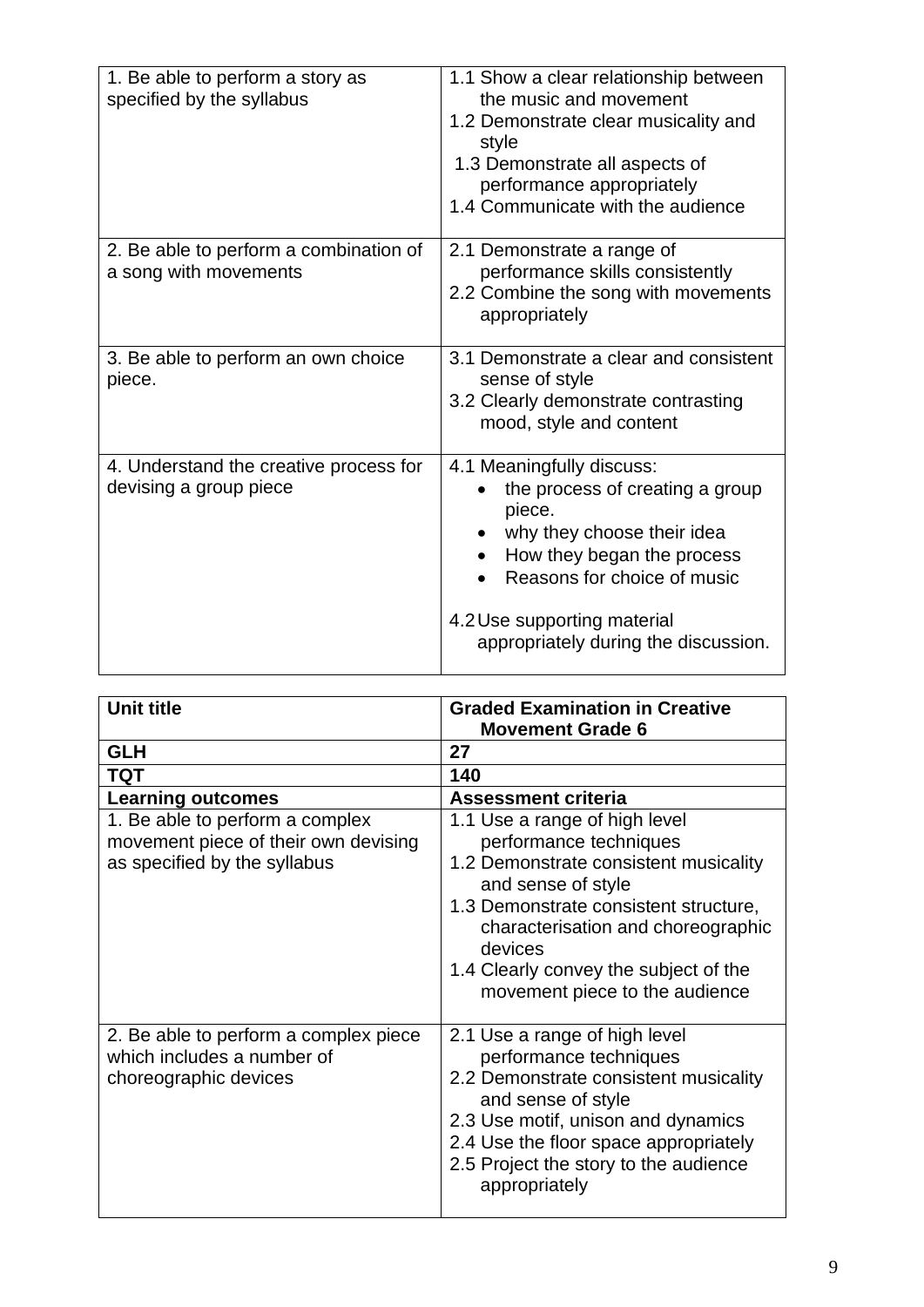| 1. Be able to perform a story as<br>specified by the syllabus    | 1.1 Show a clear relationship between<br>the music and movement<br>1.2 Demonstrate clear musicality and<br>style<br>1.3 Demonstrate all aspects of<br>performance appropriately<br>1.4 Communicate with the audience                     |
|------------------------------------------------------------------|------------------------------------------------------------------------------------------------------------------------------------------------------------------------------------------------------------------------------------------|
| 2. Be able to perform a combination of<br>a song with movements  | 2.1 Demonstrate a range of<br>performance skills consistently<br>2.2 Combine the song with movements<br>appropriately                                                                                                                    |
| 3. Be able to perform an own choice<br>piece.                    | 3.1 Demonstrate a clear and consistent<br>sense of style<br>3.2 Clearly demonstrate contrasting<br>mood, style and content                                                                                                               |
| 4. Understand the creative process for<br>devising a group piece | 4.1 Meaningfully discuss:<br>the process of creating a group<br>piece.<br>why they choose their idea<br>How they began the process<br>Reasons for choice of music<br>4.2 Use supporting material<br>appropriately during the discussion. |

| <b>Unit title</b>                                                                                       | <b>Graded Examination in Creative</b><br><b>Movement Grade 6</b>                                                                                                                                                                                                                            |
|---------------------------------------------------------------------------------------------------------|---------------------------------------------------------------------------------------------------------------------------------------------------------------------------------------------------------------------------------------------------------------------------------------------|
| <b>GLH</b>                                                                                              | 27                                                                                                                                                                                                                                                                                          |
| TQT                                                                                                     | 140                                                                                                                                                                                                                                                                                         |
| <b>Learning outcomes</b>                                                                                | <b>Assessment criteria</b>                                                                                                                                                                                                                                                                  |
| 1. Be able to perform a complex<br>movement piece of their own devising<br>as specified by the syllabus | 1.1 Use a range of high level<br>performance techniques<br>1.2 Demonstrate consistent musicality<br>and sense of style<br>1.3 Demonstrate consistent structure,<br>characterisation and choreographic<br>devices<br>1.4 Clearly convey the subject of the<br>movement piece to the audience |
| 2. Be able to perform a complex piece<br>which includes a number of<br>choreographic devices            | 2.1 Use a range of high level<br>performance techniques<br>2.2 Demonstrate consistent musicality<br>and sense of style<br>2.3 Use motif, unison and dynamics<br>2.4 Use the floor space appropriately<br>2.5 Project the story to the audience<br>appropriately                             |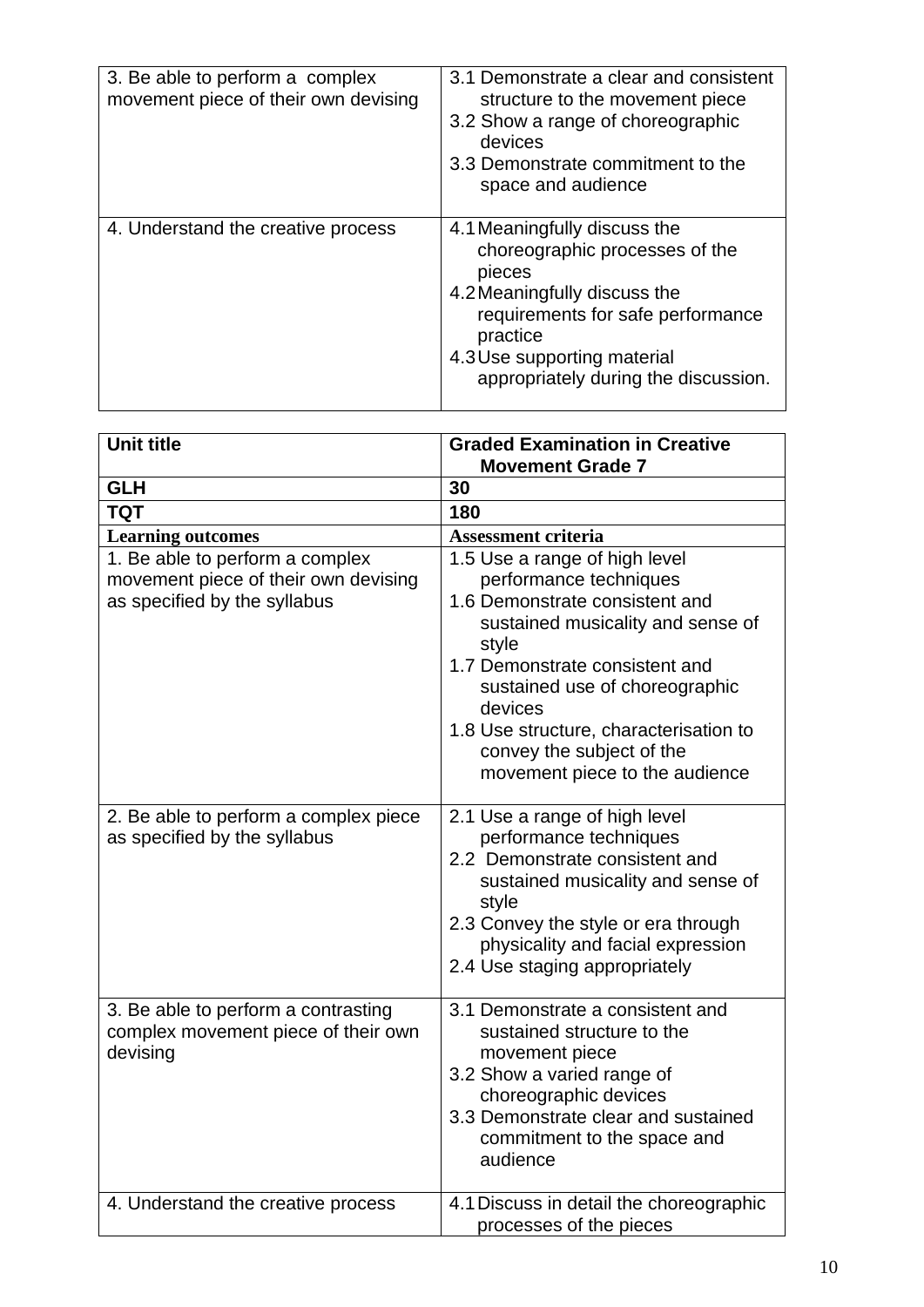| 3. Be able to perform a complex<br>movement piece of their own devising | 3.1 Demonstrate a clear and consistent<br>structure to the movement piece<br>3.2 Show a range of choreographic<br>devices<br>3.3 Demonstrate commitment to the<br>space and audience                                             |
|-------------------------------------------------------------------------|----------------------------------------------------------------------------------------------------------------------------------------------------------------------------------------------------------------------------------|
| 4. Understand the creative process                                      | 4.1 Meaningfully discuss the<br>choreographic processes of the<br>pieces<br>4.2 Meaningfully discuss the<br>requirements for safe performance<br>practice<br>4.3 Use supporting material<br>appropriately during the discussion. |

| <b>Unit title</b>                                                                                       | <b>Graded Examination in Creative</b>                                                                                                                                                                                                                                                                                           |
|---------------------------------------------------------------------------------------------------------|---------------------------------------------------------------------------------------------------------------------------------------------------------------------------------------------------------------------------------------------------------------------------------------------------------------------------------|
|                                                                                                         | <b>Movement Grade 7</b>                                                                                                                                                                                                                                                                                                         |
| <b>GLH</b>                                                                                              | 30                                                                                                                                                                                                                                                                                                                              |
| <b>TQT</b>                                                                                              | 180                                                                                                                                                                                                                                                                                                                             |
| <b>Learning outcomes</b>                                                                                | <b>Assessment criteria</b>                                                                                                                                                                                                                                                                                                      |
| 1. Be able to perform a complex<br>movement piece of their own devising<br>as specified by the syllabus | 1.5 Use a range of high level<br>performance techniques<br>1.6 Demonstrate consistent and<br>sustained musicality and sense of<br>style<br>1.7 Demonstrate consistent and<br>sustained use of choreographic<br>devices<br>1.8 Use structure, characterisation to<br>convey the subject of the<br>movement piece to the audience |
| 2. Be able to perform a complex piece<br>as specified by the syllabus                                   | 2.1 Use a range of high level<br>performance techniques<br>2.2 Demonstrate consistent and<br>sustained musicality and sense of<br>style<br>2.3 Convey the style or era through<br>physicality and facial expression<br>2.4 Use staging appropriately                                                                            |
| 3. Be able to perform a contrasting<br>complex movement piece of their own<br>devising                  | 3.1 Demonstrate a consistent and<br>sustained structure to the<br>movement piece<br>3.2 Show a varied range of<br>choreographic devices<br>3.3 Demonstrate clear and sustained<br>commitment to the space and<br>audience                                                                                                       |
| 4. Understand the creative process                                                                      | 4.1 Discuss in detail the choreographic<br>processes of the pieces                                                                                                                                                                                                                                                              |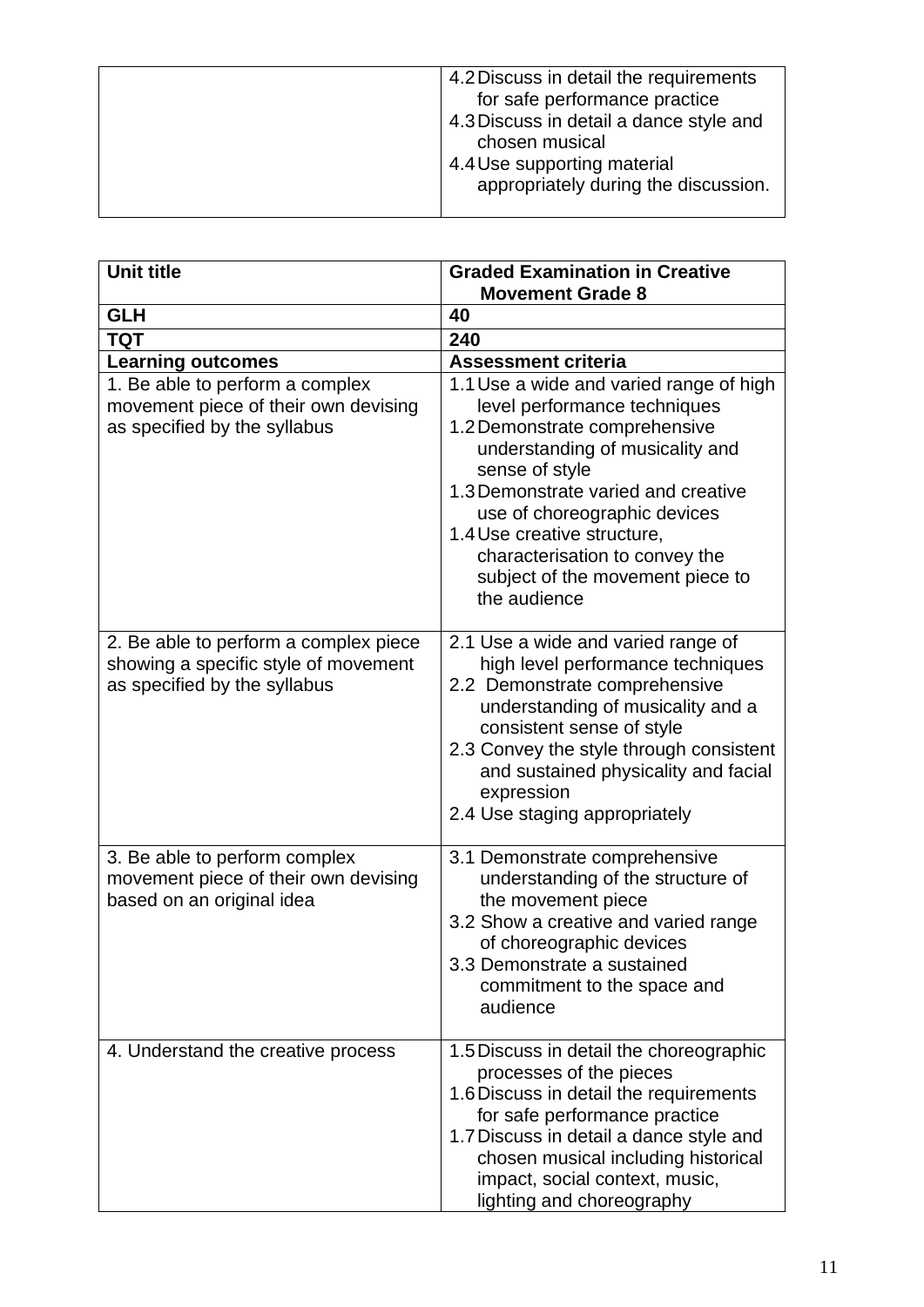| 4.2 Discuss in detail the requirements  |
|-----------------------------------------|
| for safe performance practice           |
| 4.3 Discuss in detail a dance style and |
| chosen musical                          |
| 4.4 Use supporting material             |
| appropriately during the discussion.    |
|                                         |

| <b>Unit title</b>                                                                                             | <b>Graded Examination in Creative</b>                                                                                                                                                                                                                                                                                                                     |
|---------------------------------------------------------------------------------------------------------------|-----------------------------------------------------------------------------------------------------------------------------------------------------------------------------------------------------------------------------------------------------------------------------------------------------------------------------------------------------------|
|                                                                                                               | <b>Movement Grade 8</b>                                                                                                                                                                                                                                                                                                                                   |
| <b>GLH</b>                                                                                                    | 40                                                                                                                                                                                                                                                                                                                                                        |
| <b>TQT</b>                                                                                                    | 240                                                                                                                                                                                                                                                                                                                                                       |
| <b>Learning outcomes</b>                                                                                      | <b>Assessment criteria</b>                                                                                                                                                                                                                                                                                                                                |
| 1. Be able to perform a complex<br>movement piece of their own devising<br>as specified by the syllabus       | 1.1 Use a wide and varied range of high<br>level performance techniques<br>1.2 Demonstrate comprehensive<br>understanding of musicality and<br>sense of style<br>1.3 Demonstrate varied and creative<br>use of choreographic devices<br>1.4 Use creative structure,<br>characterisation to convey the<br>subject of the movement piece to<br>the audience |
| 2. Be able to perform a complex piece<br>showing a specific style of movement<br>as specified by the syllabus | 2.1 Use a wide and varied range of<br>high level performance techniques<br>2.2 Demonstrate comprehensive<br>understanding of musicality and a<br>consistent sense of style<br>2.3 Convey the style through consistent<br>and sustained physicality and facial<br>expression<br>2.4 Use staging appropriately                                              |
| 3. Be able to perform complex<br>movement piece of their own devising<br>based on an original idea            | 3.1 Demonstrate comprehensive<br>understanding of the structure of<br>the movement piece<br>3.2 Show a creative and varied range<br>of choreographic devices<br>3.3 Demonstrate a sustained<br>commitment to the space and<br>audience                                                                                                                    |
| 4. Understand the creative process                                                                            | 1.5 Discuss in detail the choreographic<br>processes of the pieces<br>1.6 Discuss in detail the requirements<br>for safe performance practice<br>1.7 Discuss in detail a dance style and<br>chosen musical including historical<br>impact, social context, music,<br>lighting and choreography                                                            |